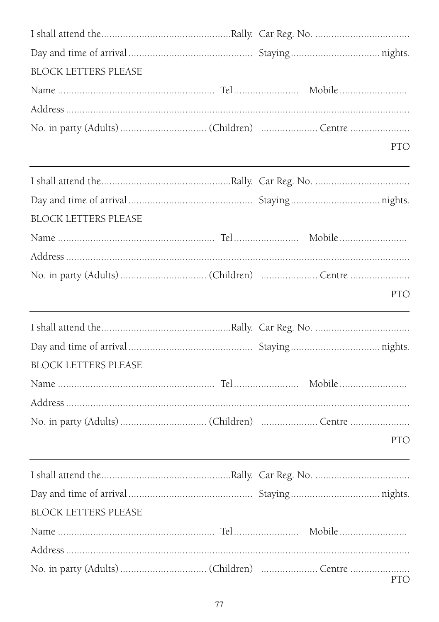| BLOCK LETTERS PLEASE        |                                         |     |
|-----------------------------|-----------------------------------------|-----|
|                             |                                         |     |
|                             |                                         |     |
|                             |                                         |     |
|                             | <u> 1989 - Johann Barbara, martxa a</u> | PTO |
|                             |                                         |     |
|                             |                                         |     |
| <b>BLOCK LETTERS PLEASE</b> |                                         |     |
|                             |                                         |     |
|                             |                                         |     |
|                             |                                         |     |
|                             |                                         | PTO |
|                             |                                         |     |
|                             |                                         |     |
|                             |                                         |     |
| <b>BLOCK LETTERS PLEASE</b> |                                         |     |
|                             |                                         |     |
|                             |                                         |     |
|                             |                                         |     |
|                             |                                         | PTO |
|                             |                                         |     |
|                             |                                         |     |
| <b>BLOCK LETTERS PLEASE</b> |                                         |     |
|                             |                                         |     |
|                             |                                         |     |